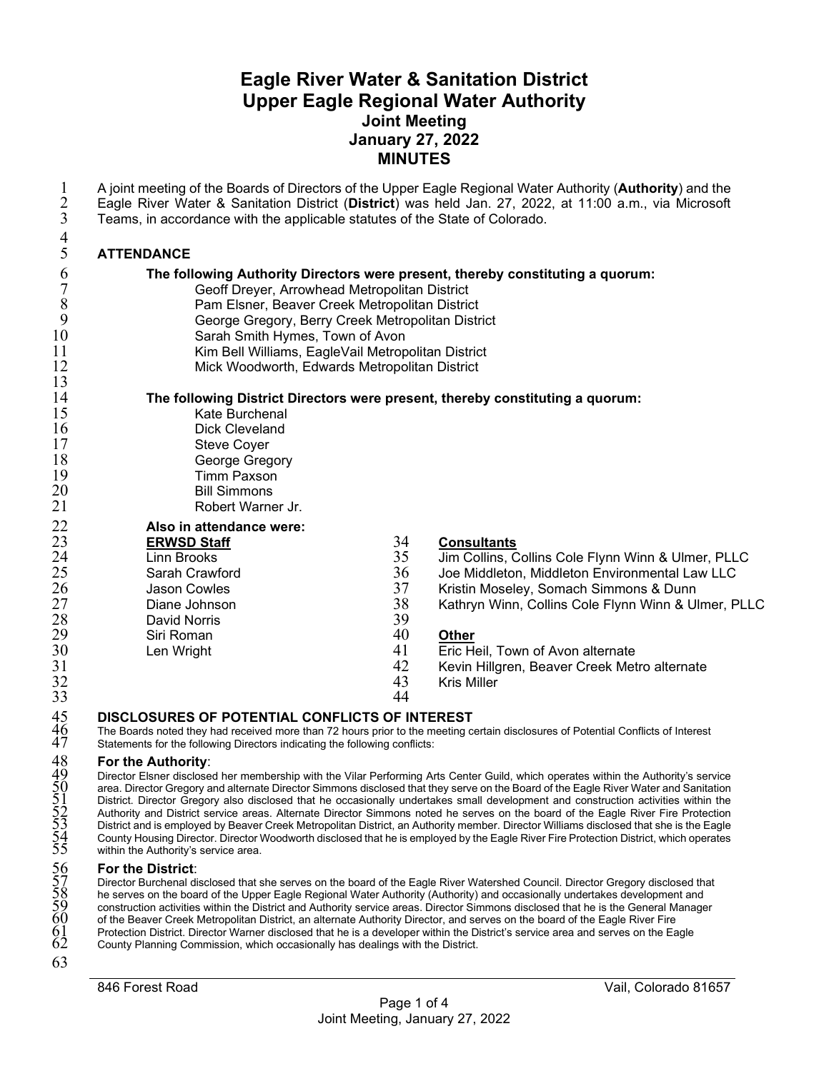# **Eagle River Water & Sanitation District Upper Eagle Regional Water Authority Joint Meeting January 27, 2022 MINUTES**

| 1<br>$\overline{2}$<br>3 | A joint meeting of the Boards of Directors of the Upper Eagle Regional Water Authority (Authority) and the<br>Eagle River Water & Sanitation District (District) was held Jan. 27, 2022, at 11:00 a.m., via Microsoft<br>Teams, in accordance with the applicable statutes of the State of Colorado. |          |                                                                                                                                   |  |
|--------------------------|------------------------------------------------------------------------------------------------------------------------------------------------------------------------------------------------------------------------------------------------------------------------------------------------------|----------|-----------------------------------------------------------------------------------------------------------------------------------|--|
|                          |                                                                                                                                                                                                                                                                                                      |          |                                                                                                                                   |  |
| $\overline{4}$           |                                                                                                                                                                                                                                                                                                      |          |                                                                                                                                   |  |
| 5                        | <b>ATTENDANCE</b>                                                                                                                                                                                                                                                                                    |          |                                                                                                                                   |  |
| 6                        | The following Authority Directors were present, thereby constituting a quorum:                                                                                                                                                                                                                       |          |                                                                                                                                   |  |
| $\overline{7}$           | Geoff Dreyer, Arrowhead Metropolitan District                                                                                                                                                                                                                                                        |          |                                                                                                                                   |  |
| $\,$ $\,$                | Pam Elsner, Beaver Creek Metropolitan District                                                                                                                                                                                                                                                       |          |                                                                                                                                   |  |
| 9                        | George Gregory, Berry Creek Metropolitan District                                                                                                                                                                                                                                                    |          |                                                                                                                                   |  |
| 10<br>11                 | Sarah Smith Hymes, Town of Avon<br>Kim Bell Williams, EagleVail Metropolitan District                                                                                                                                                                                                                |          |                                                                                                                                   |  |
| 12                       | Mick Woodworth, Edwards Metropolitan District                                                                                                                                                                                                                                                        |          |                                                                                                                                   |  |
| 13                       |                                                                                                                                                                                                                                                                                                      |          |                                                                                                                                   |  |
| 14                       |                                                                                                                                                                                                                                                                                                      |          | The following District Directors were present, thereby constituting a quorum:                                                     |  |
| 15                       | Kate Burchenal                                                                                                                                                                                                                                                                                       |          |                                                                                                                                   |  |
| 16                       | <b>Dick Cleveland</b>                                                                                                                                                                                                                                                                                |          |                                                                                                                                   |  |
| $17\,$                   | <b>Steve Coyer</b>                                                                                                                                                                                                                                                                                   |          |                                                                                                                                   |  |
| 18                       | George Gregory                                                                                                                                                                                                                                                                                       |          |                                                                                                                                   |  |
| 19                       | <b>Timm Paxson</b>                                                                                                                                                                                                                                                                                   |          |                                                                                                                                   |  |
| 20<br>21                 | <b>Bill Simmons</b>                                                                                                                                                                                                                                                                                  |          |                                                                                                                                   |  |
|                          | Robert Warner Jr.                                                                                                                                                                                                                                                                                    |          |                                                                                                                                   |  |
| $\frac{22}{23}$          | Also in attendance were:                                                                                                                                                                                                                                                                             |          |                                                                                                                                   |  |
|                          | <b>ERWSD Staff</b>                                                                                                                                                                                                                                                                                   | 34       | <b>Consultants</b>                                                                                                                |  |
| 24                       | <b>Linn Brooks</b>                                                                                                                                                                                                                                                                                   | 35       | Jim Collins, Collins Cole Flynn Winn & Ulmer, PLLC                                                                                |  |
| 25                       | Sarah Crawford                                                                                                                                                                                                                                                                                       | 36       | Joe Middleton, Middleton Environmental Law LLC                                                                                    |  |
| 26<br>27                 | <b>Jason Cowles</b>                                                                                                                                                                                                                                                                                  | 37<br>38 | Kristin Moseley, Somach Simmons & Dunn                                                                                            |  |
| 28                       | Diane Johnson<br><b>David Norris</b>                                                                                                                                                                                                                                                                 | 39       | Kathryn Winn, Collins Cole Flynn Winn & Ulmer, PLLC                                                                               |  |
| 29                       | Siri Roman                                                                                                                                                                                                                                                                                           | 40       | Other                                                                                                                             |  |
| 30                       | Len Wright                                                                                                                                                                                                                                                                                           | 41       | Eric Heil, Town of Avon alternate                                                                                                 |  |
| 31                       |                                                                                                                                                                                                                                                                                                      | 42       | Kevin Hillgren, Beaver Creek Metro alternate                                                                                      |  |
| 32                       |                                                                                                                                                                                                                                                                                                      | 43       | <b>Kris Miller</b>                                                                                                                |  |
| 33                       |                                                                                                                                                                                                                                                                                                      | 44       |                                                                                                                                   |  |
|                          | <b>DISCLOSURES OF POTENTIAL CONFLICTS OF INTEREST</b>                                                                                                                                                                                                                                                |          |                                                                                                                                   |  |
| 45<br>46<br>47           |                                                                                                                                                                                                                                                                                                      |          | The Boards noted they had received more than 72 hours prior to the meeting certain disclosures of Potential Conflicts of Interest |  |
|                          | Statements for the following Directors indicating the following conflicts:                                                                                                                                                                                                                           |          |                                                                                                                                   |  |
| 48                       | For the Authority:                                                                                                                                                                                                                                                                                   |          |                                                                                                                                   |  |

 Director Elsner disclosed her membership with the Vilar Performing Arts Center Guild, which operates within the Authority's service area. Director Gregory and alternate Director Simmons disclosed that they serve on the Board of the Eagle River Water and Sanitation District. Director Gregory also disclosed that he occasionally undertakes small development and construction activities within the Authority and District service areas. Alternate Director Simmons noted he serves on the board of the Eagle River Fire Protection District and is employed by Beaver Creek Metropolitan District, an Authority member. Director Williams disclosed that she is the Eagle County Housing Director. Director Woodworth disclosed that he is employed by the Eagle River Fire Protection District, which operates within the Authority's service area.

#### **For the District**:

Director Burchenal disclosed that she serves on the board of the Eagle River Watershed Council. Director Gregory disclosed that he serves on the board of the Upper Eagle Regional Water Authority (Authority) and occasionally undertakes development and construction activities within the District and Authority service areas. Director Simmons disclosed that he is the General Manager of the Beaver Creek Metropolitan District, an alternate Authority Director, and serves on the board of the Eagle River Fire Protection District. Director Warner disclosed that he is a developer within the District's service area and serves on the Eagle County Planning Commission, which occasionally has dealings with the District.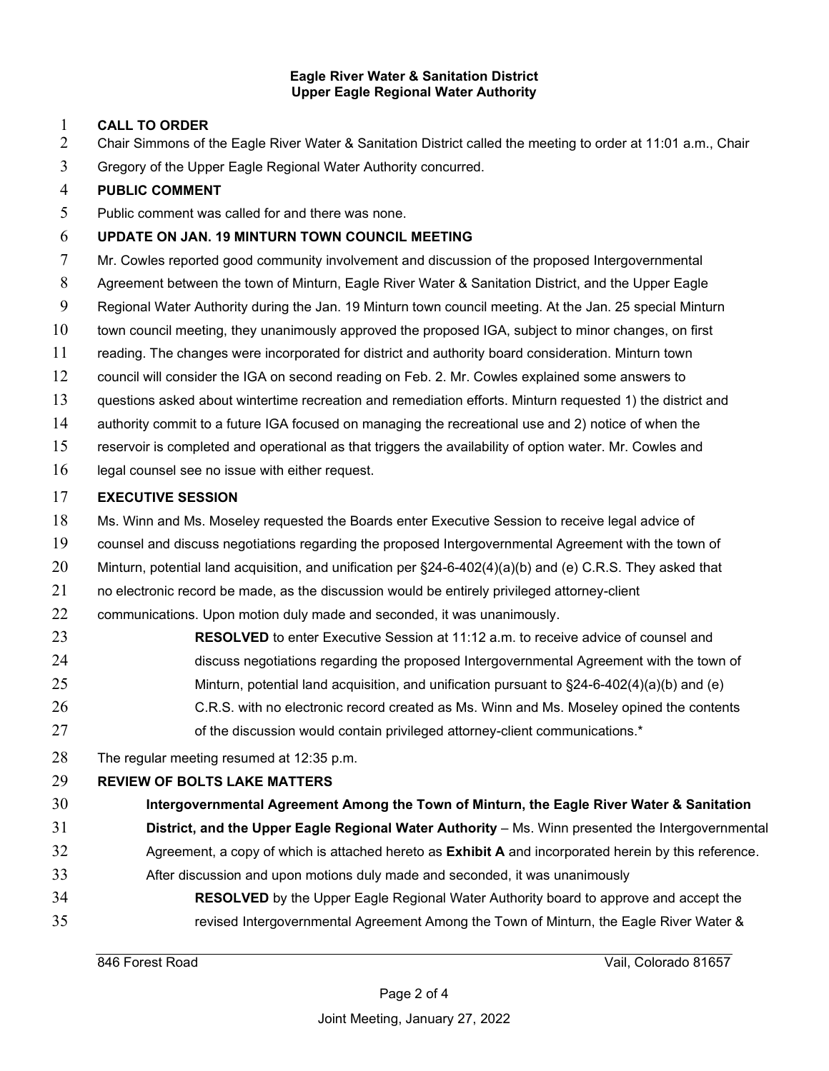#### **Eagle River Water & Sanitation District Upper Eagle Regional Water Authority**

### **CALL TO ORDER**

- Chair Simmons of the Eagle River Water & Sanitation District called the meeting to order at 11:01 a.m., Chair
- Gregory of the Upper Eagle Regional Water Authority concurred.

### **PUBLIC COMMENT**

Public comment was called for and there was none.

### **UPDATE ON JAN. 19 MINTURN TOWN COUNCIL MEETING**

Mr. Cowles reported good community involvement and discussion of the proposed Intergovernmental

- Agreement between the town of Minturn, Eagle River Water & Sanitation District, and the Upper Eagle
- Regional Water Authority during the Jan. 19 Minturn town council meeting. At the Jan. 25 special Minturn
- town council meeting, they unanimously approved the proposed IGA, subject to minor changes, on first
- reading. The changes were incorporated for district and authority board consideration. Minturn town
- council will consider the IGA on second reading on Feb. 2. Mr. Cowles explained some answers to
- questions asked about wintertime recreation and remediation efforts. Minturn requested 1) the district and
- authority commit to a future IGA focused on managing the recreational use and 2) notice of when the
- reservoir is completed and operational as that triggers the availability of option water. Mr. Cowles and
- legal counsel see no issue with either request.

### **EXECUTIVE SESSION**

- 18 Ms. Winn and Ms. Moseley requested the Boards enter Executive Session to receive legal advice of
- counsel and discuss negotiations regarding the proposed Intergovernmental Agreement with the town of
- Minturn, potential land acquisition, and unification per §24-6-402(4)(a)(b) and (e) C.R.S. They asked that
- no electronic record be made, as the discussion would be entirely privileged attorney-client

22 communications. Upon motion duly made and seconded, it was unanimously.

- **RESOLVED** to enter Executive Session at 11:12 a.m. to receive advice of counsel and discuss negotiations regarding the proposed Intergovernmental Agreement with the town of Minturn, potential land acquisition, and unification pursuant to §24-6-402(4)(a)(b) and (e) 26 C.R.S. with no electronic record created as Ms. Winn and Ms. Moseley opined the contents 27 of the discussion would contain privileged attorney-client communications.\*
- The regular meeting resumed at 12:35 p.m.

## **REVIEW OF BOLTS LAKE MATTERS**

- **Intergovernmental Agreement Among the Town of Minturn, the Eagle River Water & Sanitation**
- **District, and the Upper Eagle Regional Water Authority** Ms. Winn presented the Intergovernmental Agreement, a copy of which is attached hereto as **Exhibit A** and incorporated herein by this reference.
- After discussion and upon motions duly made and seconded, it was unanimously
- **RESOLVED** by the Upper Eagle Regional Water Authority board to approve and accept the revised Intergovernmental Agreement Among the Town of Minturn, the Eagle River Water &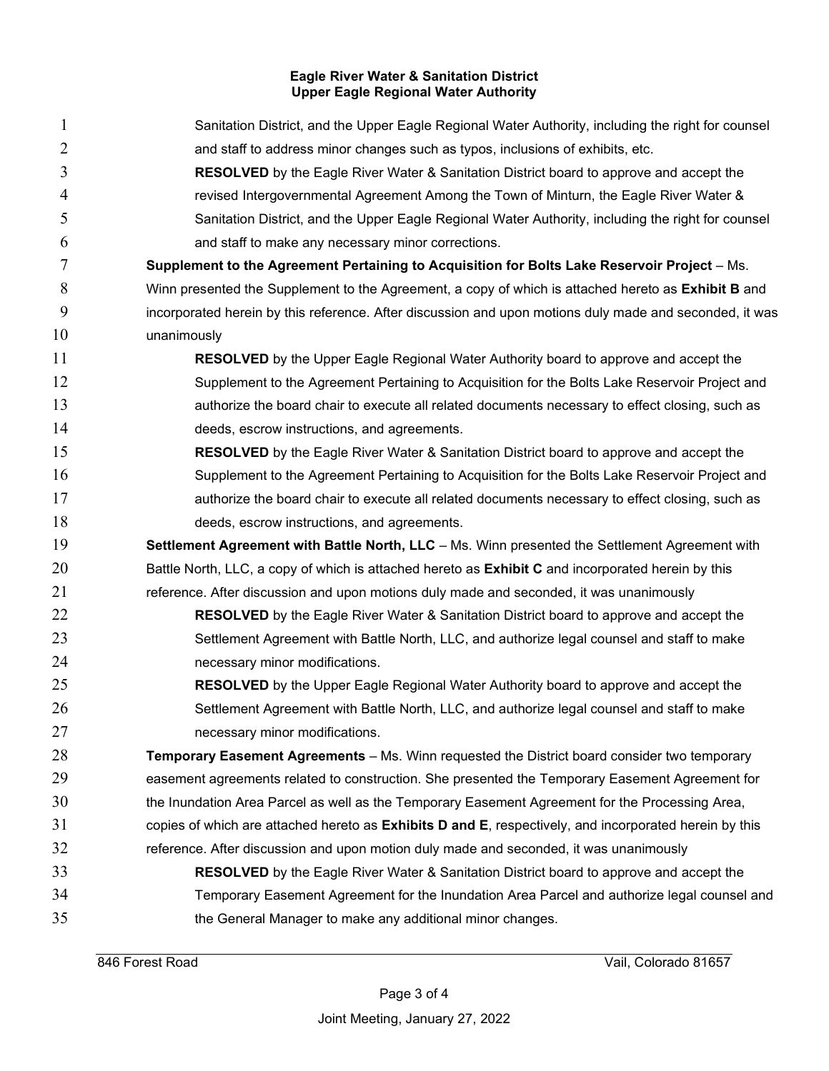#### **Eagle River Water & Sanitation District Upper Eagle Regional Water Authority**

| $\mathbf{1}$   | Sanitation District, and the Upper Eagle Regional Water Authority, including the right for counsel        |
|----------------|-----------------------------------------------------------------------------------------------------------|
| $\overline{2}$ | and staff to address minor changes such as typos, inclusions of exhibits, etc.                            |
| 3              | <b>RESOLVED</b> by the Eagle River Water & Sanitation District board to approve and accept the            |
| 4              | revised Intergovernmental Agreement Among the Town of Minturn, the Eagle River Water &                    |
| 5              | Sanitation District, and the Upper Eagle Regional Water Authority, including the right for counsel        |
| 6              | and staff to make any necessary minor corrections.                                                        |
| 7              | Supplement to the Agreement Pertaining to Acquisition for Bolts Lake Reservoir Project - Ms.              |
| 8              | Winn presented the Supplement to the Agreement, a copy of which is attached hereto as Exhibit B and       |
| 9              | incorporated herein by this reference. After discussion and upon motions duly made and seconded, it was   |
| 10             | unanimously                                                                                               |
| 11             | <b>RESOLVED</b> by the Upper Eagle Regional Water Authority board to approve and accept the               |
| 12             | Supplement to the Agreement Pertaining to Acquisition for the Bolts Lake Reservoir Project and            |
| 13             | authorize the board chair to execute all related documents necessary to effect closing, such as           |
| 14             | deeds, escrow instructions, and agreements.                                                               |
| 15             | <b>RESOLVED</b> by the Eagle River Water & Sanitation District board to approve and accept the            |
| 16             | Supplement to the Agreement Pertaining to Acquisition for the Bolts Lake Reservoir Project and            |
| 17             | authorize the board chair to execute all related documents necessary to effect closing, such as           |
| 18             | deeds, escrow instructions, and agreements.                                                               |
| 19             | Settlement Agreement with Battle North, LLC - Ms. Winn presented the Settlement Agreement with            |
| 20             | Battle North, LLC, a copy of which is attached hereto as <b>Exhibit C</b> and incorporated herein by this |
| 21             | reference. After discussion and upon motions duly made and seconded, it was unanimously                   |
| 22             | <b>RESOLVED</b> by the Eagle River Water & Sanitation District board to approve and accept the            |
| 23             | Settlement Agreement with Battle North, LLC, and authorize legal counsel and staff to make                |
| 24             | necessary minor modifications.                                                                            |
| 25             | <b>RESOLVED</b> by the Upper Eagle Regional Water Authority board to approve and accept the               |
| 26             | Settlement Agreement with Battle North, LLC, and authorize legal counsel and staff to make                |
| 27             | necessary minor modifications.                                                                            |
| 28             | Temporary Easement Agreements - Ms. Winn requested the District board consider two temporary              |
| 29             | easement agreements related to construction. She presented the Temporary Easement Agreement for           |
| 30             | the Inundation Area Parcel as well as the Temporary Easement Agreement for the Processing Area,           |
| 31             | copies of which are attached hereto as Exhibits D and E, respectively, and incorporated herein by this    |
| 32             | reference. After discussion and upon motion duly made and seconded, it was unanimously                    |
| 33             | <b>RESOLVED</b> by the Eagle River Water & Sanitation District board to approve and accept the            |
| 34             | Temporary Easement Agreement for the Inundation Area Parcel and authorize legal counsel and               |
| 35             | the General Manager to make any additional minor changes.                                                 |
|                |                                                                                                           |